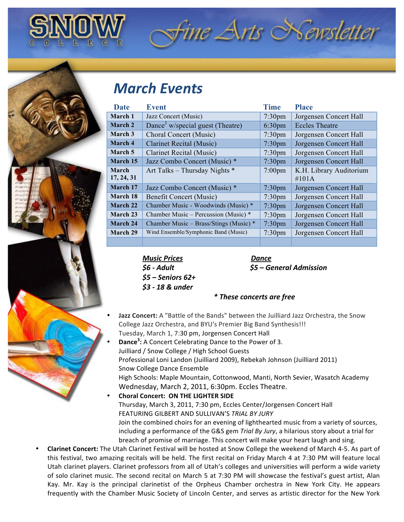

## fine Arts Newsletter

## *March&Events*

| Date       | <b>Event</b>                                 | <b>Time</b>        | <b>Place</b>            |
|------------|----------------------------------------------|--------------------|-------------------------|
| March 1    | Jazz Concert (Music)                         | $7:30$ pm          | Jorgensen Concert Hall  |
| March 2    | Dance <sup>3</sup> w/special guest (Theatre) | 6:30 <sub>pm</sub> | <b>Eccles Theatre</b>   |
| March 3    | Choral Concert (Music)                       | 7:30 <sub>pm</sub> | Jorgensen Concert Hall  |
| March 4    | <b>Clarinet Recital (Music)</b>              | 7:30 <sub>pm</sub> | Jorgensen Concert Hall  |
| March 5    | <b>Clarinet Recital (Music)</b>              | 7:30 <sub>pm</sub> | Jorgensen Concert Hall  |
| March 15   | Jazz Combo Concert (Music) *                 | 7:30 <sub>pm</sub> | Jorgensen Concert Hall  |
| March      | Art Talks - Thursday Nights *                | $7:00 \text{pm}$   | K.H. Library Auditorium |
| 17, 24, 31 |                                              |                    | #101A                   |
| March 17   | Jazz Combo Concert (Music) *                 | 7:30 <sub>pm</sub> | Jorgensen Concert Hall  |
| March 18   | <b>Benefit Concert (Music)</b>               | 7:30 <sub>pm</sub> | Jorgensen Concert Hall  |
| March 22   | Chamber Music - Woodwinds (Music) *          | 7:30 <sub>pm</sub> | Jorgensen Concert Hall  |
| March 23   | Chamber Music – Percussion (Music) *         | $7:30$ pm          | Jorgensen Concert Hall  |
| March 24   | Chamber Music – Brass/Stings (Music) *       | $7:30$ pm          | Jorgensen Concert Hall  |
| March 29   | Wind Ensemble/Symphonic Band (Music)         | 7:30 <sub>pm</sub> | Jorgensen Concert Hall  |
|            |                                              |                    |                         |

*Music&Prices Dance \$5&– Seniors&62+ \$3&3&18&&&under*

*\$6&3 Adult &&&&&&&\$5&–&General&Admission*

## $*$  *These concerts are free*

- Jazz Concert: A "Battle of the Bands" between the Juilliard Jazz Orchestra, the Snow College Jazz Orchestra, and BYU's Premier Big Band Synthesis!!! Tuesday, March 1, 7:30 pm, Jorgensen Concert Hall
- **Dance<sup>3</sup>:** A Concert Celebrating Dance to the Power of 3. Juilliard / Snow College / High School Guests Professional Loni Landon (Juilliard 2009), Rebekah Johnson (Juilliard 2011) Snow College Dance Ensemble High Schools: Maple Mountain, Cottonwood, Manti, North Sevier, Wasatch Academy Wednesday, March 2, 2011, 6:30pm. Eccles Theatre. **Choral Concert: ON THE LIGHTER SIDE** Thursday, March 3, 2011, 7:30 pm, Eccles Center/Jorgensen Concert Hall

FEATURING!GILBERT!AND!SULLIVAN'S!*TRIAL!BY!JURY* Join the combined choirs for an evening of lighthearted music from a variety of sources, including a performance of the G&S gem *Trial By Jury*, a hilarious story about a trial for breach of promise of marriage. This concert will make your heart laugh and sing.

Clarinet Concert: The Utah Clarinet Festival will be hosted at Snow College the weekend of March 4-5. As part of this festival, two amazing recitals will be held. The first recital on Friday March 4 at 7:30 PM will feature local Utah clarinet players. Clarinet professors from all of Utah's colleges and universities will perform a wide variety of solo clarinet music. The second recital on March 5 at 7:30 PM will showcase the festival's guest artist, Alan Kay. Mr. Kay is the principal clarinetist of the Orpheus Chamber orchestra in New York City. He appears frequently with the Chamber Music Society of Lincoln Center, and serves as artistic director for the New York